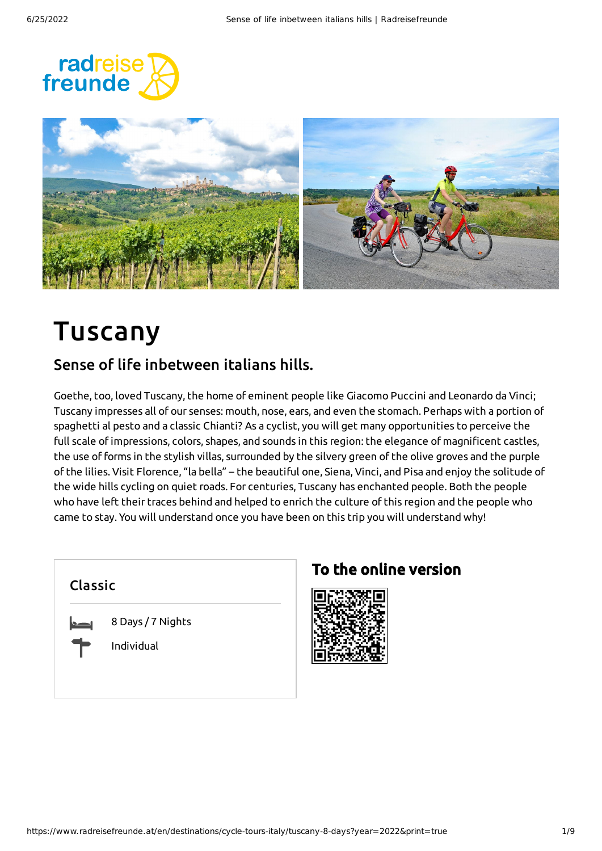



# Tuscany

### Sense of life inbetween italians hills.

Goethe, too, loved Tuscany, the home of eminent people like Giacomo Puccini and Leonardo da Vinci; Tuscany impresses all of our senses: mouth, nose, ears, and even the stomach. Perhaps with a portion of spaghetti al pesto and a classic Chianti? As a cyclist, you will get many opportunities to perceive the full scale ofimpressions, colors, shapes, and sounds in this region: the elegance of magnificent castles, the use of forms in the stylish villas, surrounded by the silvery green of the olive groves and the purple of the lilies. Visit Florence, "la bella" – the beautiful one, Siena, Vinci, and Pisa and enjoy the solitude of the wide hills cycling on quiet roads. For centuries, Tuscany has enchanted people. Both the people who have left their traces behind and helped to enrich the culture of this region and the people who came to stay. You will understand once you have been on this trip you will understand why!

## Classic



8 Days / 7 Nights

Individual

## To the online version

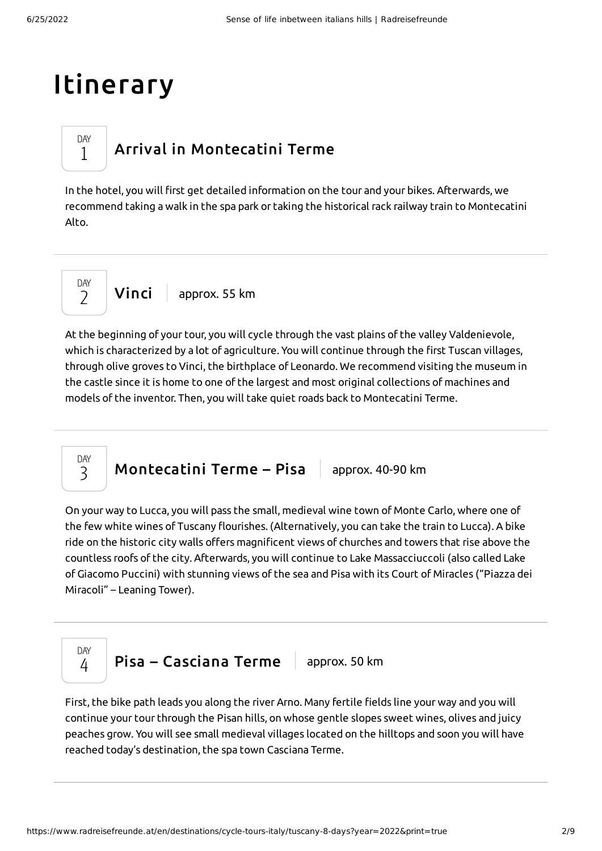# Itinerary

DAY 1

## Arrival in [Montecatini](#page-1-0) Terme

<span id="page-1-0"></span>In the hotel, you will first get detailed information on the tour and your bikes. Afterwards, we recommend taking a walk in the spa park or taking the historical rack railway train to Montecatini Alto.

**[Vinci](#page-1-1)** approx. 55 km DAY  $\overline{\phantom{0}}$ 

<span id="page-1-1"></span>At the beginning of your tour, you will cycle through the vast plains of the valley Valdenievole, which is characterized by a lot of agriculture. You will continue through the first Tuscan villages, through olive groves to Vinci, the birthplace of Leonardo. We recommend visiting the museum in the castle since it is home to one of the largest and most original collections of machines and models of the inventor. Then, you will take quiet roads back to Montecatini Terme.

[Montecatini](#page-1-2) Terme – Pisa  $|$  approx. 40-90 km

<span id="page-1-2"></span>On your way to Lucca, you will pass the small, medieval wine town of Monte Carlo, where one of the few white wines of Tuscany flourishes. (Alternatively, you can take the train to Lucca). A bike ride on the historic city walls offers magnificent views of churches and towers that rise above the countless roofs of the city. Afterwards, you will continue to Lake Massacciuccoli (also called Lake of Giacomo Puccini) with stunning views of the sea and Pisa with its Court of Miracles ("Piazza dei Miracoli" – Leaning Tower).



DAY 3

Pisa – [Casciana](#page-1-3) Terme  $\vert$  approx. 50 km

<span id="page-1-3"></span>First, the bike path leads you along the river Arno. Many fertile fields line your way and you will continue your tour through the Pisan hills, on whose gentle slopes sweet wines, olives and juicy peaches grow. You will see small medieval villages located on the hilltops and soon you will have reached today's destination, the spa town Casciana Terme.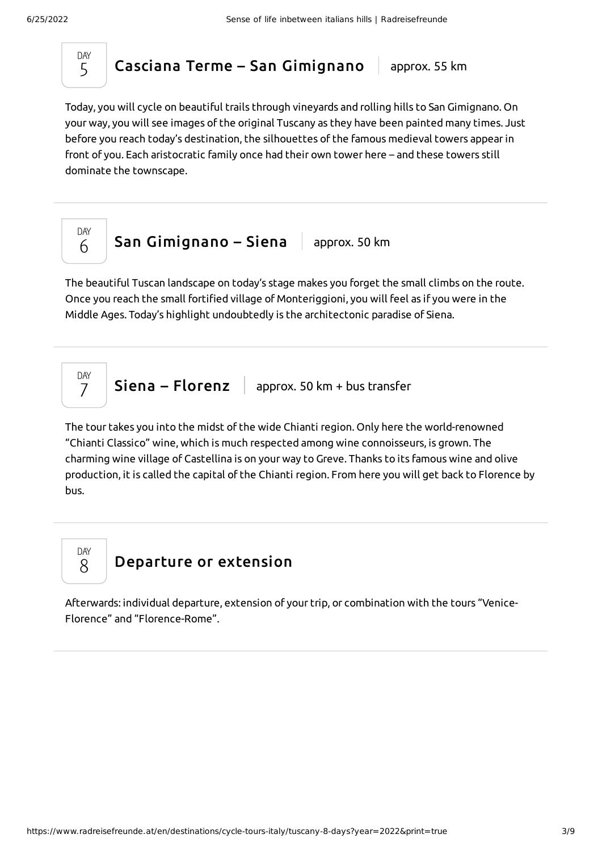DAY 5

### Casciana Terme – San [Gimignano](#page-2-0)  $|$  approx. 55 km

<span id="page-2-0"></span>Today, you will cycle on beautiful trails through vineyards and rolling hills to San Gimignano. On your way, you will see images of the original Tuscany as they have been painted many times. Just before you reach today's destination, the silhouettes of the famous medieval towers appearin front of you. Each aristocratic family once had their own tower here – and these towers still dominate the townscape.



<span id="page-2-1"></span>The beautiful Tuscan landscape on today's stage makes you forget the small climbs on the route. Once you reach the small fortified village of Monteriggioni, you will feel as if you were in the Middle Ages. Today's highlight undoubtedly is the architectonic paradise of Siena.

$$
\begin{array}{c|c|c|c} \n\text{DAY} & \text{Siena} - \text{Florenz} & \text{approx. 50 km + bus transfer} \\ \n\end{array}
$$

<span id="page-2-2"></span>The tour takes you into the midst of the wide Chianti region. Only here the world-renowned "Chianti Classico" wine, which is much respected among wine connoisseurs, is grown. The charming wine village of Castellina is on your way to Greve. Thanks to its famous wine and olive production, it is called the capital of the Chianti region. From here you will get back to Florence by bus.

DAY 8

### [Departure](#page-2-3) or extension

<span id="page-2-3"></span>Afterwards: individual departure, extension of your trip, or combination with the tours "Venice-Florence" and "Florence-Rome".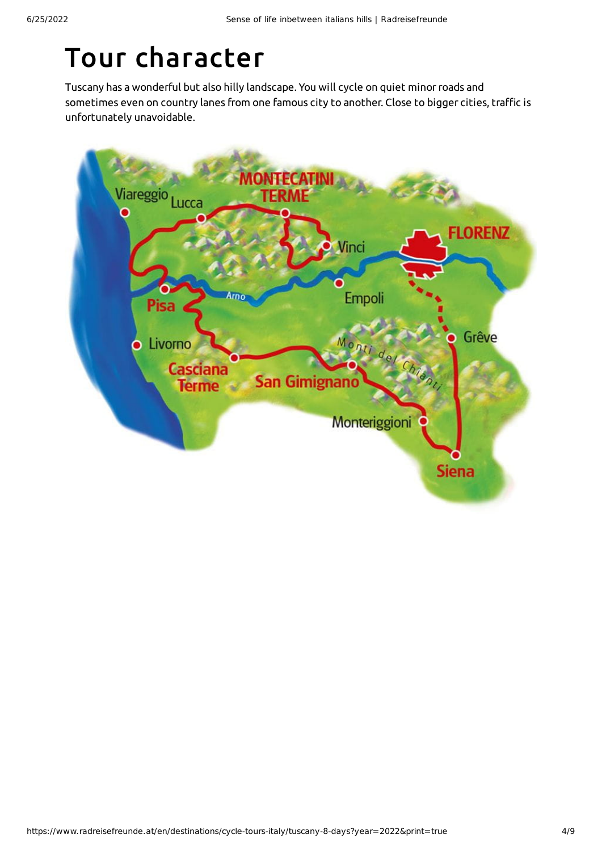# Tour character

Tuscany has a wonderful but also hilly landscape. You will cycle on quiet minorroads and sometimes even on country lanes from one famous city to another. Close to bigger cities, traffic is unfortunately unavoidable.

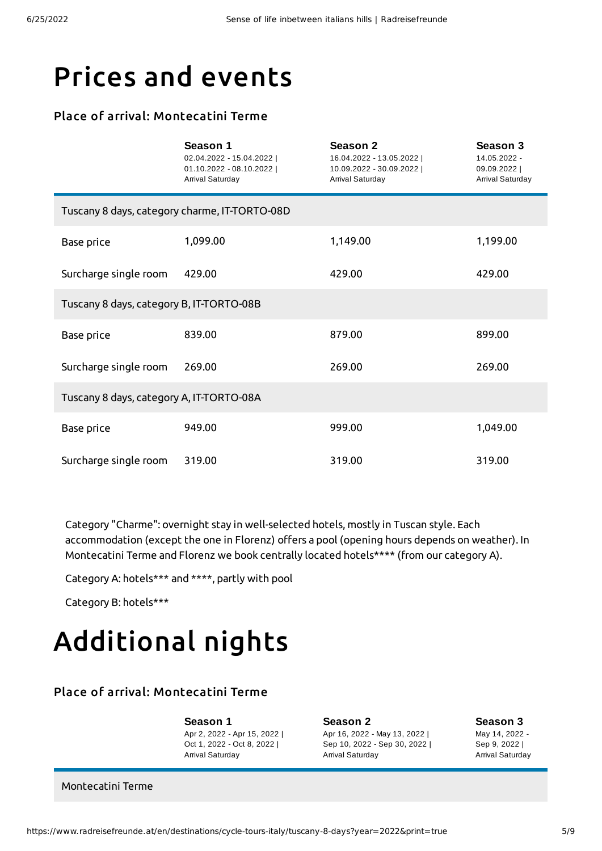## Prices and events

#### Place of arrival: Montecatini Terme

|                                               | Season 1<br>02.04.2022 - 15.04.2022  <br>01.10.2022 - 08.10.2022  <br>Arrival Saturday | <b>Season 2</b><br>16.04.2022 - 13.05.2022  <br>10.09.2022 - 30.09.2022  <br>Arrival Saturday | <b>Season 3</b><br>14.05.2022 -<br>09.09.2022  <br>Arrival Saturday |  |  |
|-----------------------------------------------|----------------------------------------------------------------------------------------|-----------------------------------------------------------------------------------------------|---------------------------------------------------------------------|--|--|
| Tuscany 8 days, category charme, IT-TORTO-08D |                                                                                        |                                                                                               |                                                                     |  |  |
| Base price                                    | 1,099.00                                                                               | 1,149.00                                                                                      | 1,199.00                                                            |  |  |
| Surcharge single room                         | 429.00                                                                                 | 429.00                                                                                        | 429.00                                                              |  |  |
| Tuscany 8 days, category B, IT-TORTO-08B      |                                                                                        |                                                                                               |                                                                     |  |  |
| <b>Base price</b>                             | 839.00                                                                                 | 879.00                                                                                        | 899.00                                                              |  |  |
| Surcharge single room                         | 269.00                                                                                 | 269.00                                                                                        | 269.00                                                              |  |  |
| Tuscany 8 days, category A, IT-TORTO-08A      |                                                                                        |                                                                                               |                                                                     |  |  |
| <b>Base price</b>                             | 949.00                                                                                 | 999.00                                                                                        | 1,049.00                                                            |  |  |
| Surcharge single room                         | 319.00                                                                                 | 319.00                                                                                        | 319.00                                                              |  |  |

Category "Charme": overnight stay in well-selected hotels, mostly in Tuscan style. Each accommodation (except the one in Florenz) offers a pool (opening hours depends on weather). In Montecatini Terme and Florenz we book centrally located hotels\*\*\*\* (from our category A).

Category A: hotels\*\*\* and \*\*\*\*, partly with pool

Category B: hotels\*\*\*

# Additional nights

#### Place of arrival: Montecatini Terme

**Season 1** Apr 2, 2022 - Apr 15, 2022 | Oct 1, 2022 - Oct 8, 2022 | Arrival Saturday

**Season 2** Apr 16, 2022 - May 13, 2022 | Sep 10, 2022 - Sep 30, 2022 | Arrival Saturday

**Season 3** May 14, 2022 - Sep 9, 2022 |

Arrival Saturday

Montecatini Terme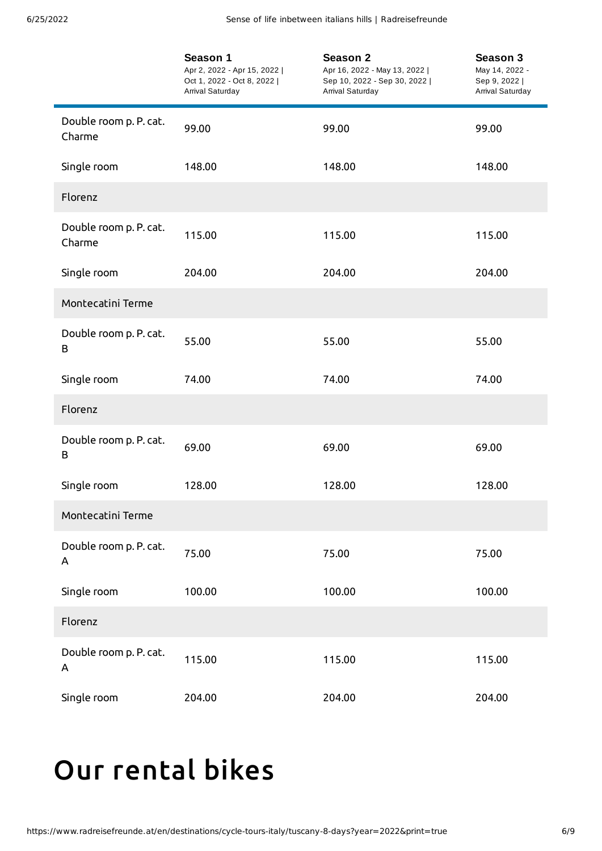|                                  | Season 1<br>Apr 2, 2022 - Apr 15, 2022  <br>Oct 1, 2022 - Oct 8, 2022  <br>Arrival Saturday | Season 2<br>Apr 16, 2022 - May 13, 2022  <br>Sep 10, 2022 - Sep 30, 2022  <br>Arrival Saturday | Season 3<br>May 14, 2022 -<br>Sep 9, 2022  <br>Arrival Saturday |
|----------------------------------|---------------------------------------------------------------------------------------------|------------------------------------------------------------------------------------------------|-----------------------------------------------------------------|
| Double room p. P. cat.<br>Charme | 99.00                                                                                       | 99.00                                                                                          | 99.00                                                           |
| Single room                      | 148.00                                                                                      | 148.00                                                                                         | 148.00                                                          |
| Florenz                          |                                                                                             |                                                                                                |                                                                 |
| Double room p. P. cat.<br>Charme | 115.00                                                                                      | 115.00                                                                                         | 115.00                                                          |
| Single room                      | 204.00                                                                                      | 204.00                                                                                         | 204.00                                                          |
| Montecatini Terme                |                                                                                             |                                                                                                |                                                                 |
| Double room p. P. cat.<br>B      | 55.00                                                                                       | 55.00                                                                                          | 55.00                                                           |
| Single room                      | 74.00                                                                                       | 74.00                                                                                          | 74.00                                                           |
| Florenz                          |                                                                                             |                                                                                                |                                                                 |
| Double room p. P. cat.<br>B      | 69.00                                                                                       | 69.00                                                                                          | 69.00                                                           |
| Single room                      | 128.00                                                                                      | 128.00                                                                                         | 128.00                                                          |
| Montecatini Terme                |                                                                                             |                                                                                                |                                                                 |
| Double room p. P. cat.<br>Α      | 75.00                                                                                       | 75.00                                                                                          | 75.00                                                           |
| Single room                      | 100.00                                                                                      | 100.00                                                                                         | 100.00                                                          |
| Florenz                          |                                                                                             |                                                                                                |                                                                 |
| Double room p. P. cat.<br>A      | 115.00                                                                                      | 115.00                                                                                         | 115.00                                                          |
| Single room                      | 204.00                                                                                      | 204.00                                                                                         | 204.00                                                          |

# <span id="page-5-0"></span>Our [rental](#page-5-0) bikes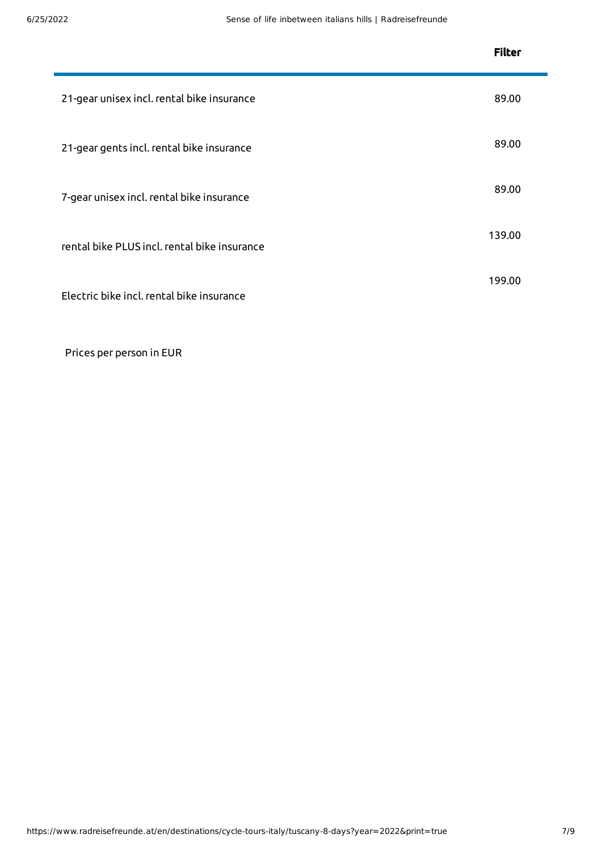|                                              | <b>Filter</b> |
|----------------------------------------------|---------------|
| 21-gear unisex incl. rental bike insurance   | 89.00         |
| 21-gear gents incl. rental bike insurance    | 89.00         |
| 7-gear unisex incl. rental bike insurance    | 89.00         |
| rental bike PLUS incl. rental bike insurance | 139.00        |
| Electric bike incl. rental bike insurance    | 199.00        |

Prices per person in EUR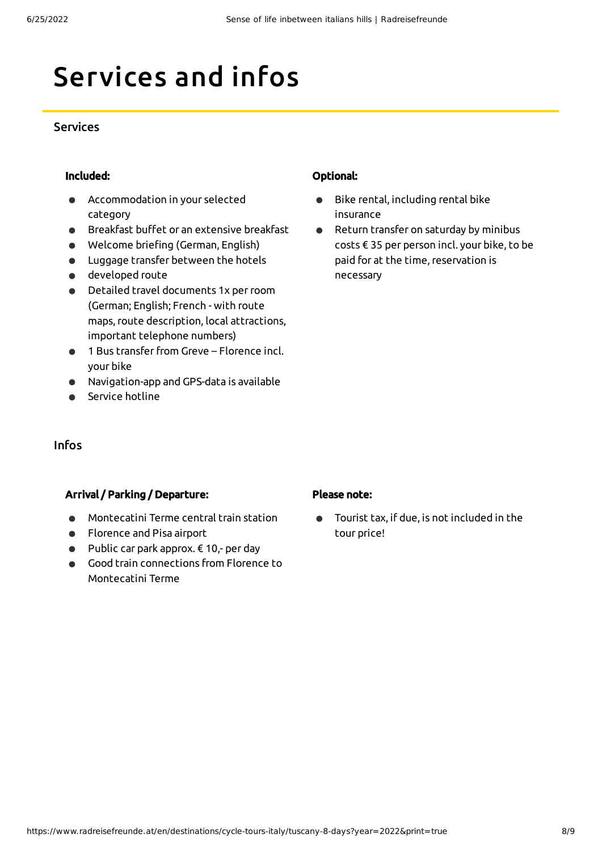# Services and infos

#### **Services**

#### Included:

- Accommodation in your selected  $\bullet$ category
- **•** Breakfast buffet or an extensive breakfast
- Welcome briefing (German, English)
- Luggage transfer between the hotels
- developed route
- Detailed travel documents 1x perroom (German; English; French - with route maps,route description, local attractions, important telephone numbers)
- 1 Bus transfer from Greve Florence incl. your bike
- Navigation-app and GPS-data is available
- Service hotline

#### Optional:

- Bike rental, including rental bike  $\bullet$ insurance
- Return transfer on saturday by minibus  $\bullet$ costs € 35 per person incl. your bike, to be paid for at the time, reservation is necessary

#### Infos

#### Arrival / Parking / Departure:

- Montecatini Terme central train station
- Florence and Pisa airport
- $\bullet$  Public car park approx.  $\epsilon$  10,- per day
- Good train connections from Florence to  $\bullet$ Montecatini Terme

#### Please note:

Tourist tax, if due, is not included in the  $\bullet$ tour price!